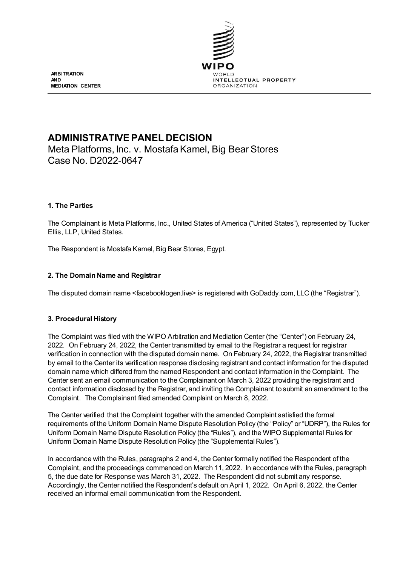

**ARBITRATION AND MEDIATION CENTER**

# **ADMINISTRATIVE PANEL DECISION**

Meta Platforms, Inc. v. Mostafa Kamel, Big Bear Stores Case No. D2022-0647

# **1. The Parties**

The Complainant is Meta Platforms, Inc., United States of America ("United States"), represented by Tucker Ellis, LLP, United States.

The Respondent is Mostafa Kamel, Big Bear Stores, Egypt.

# **2. The Domain Name and Registrar**

The disputed domain name <facebooklogen.live> is registered with GoDaddy.com, LLC (the "Registrar").

# **3. Procedural History**

The Complaint was filed with the WIPO Arbitration and Mediation Center (the "Center") on February 24, 2022. On February 24, 2022, the Center transmitted by email to the Registrar a request for registrar verification in connection with the disputed domain name. On February 24, 2022, the Registrar transmitted by email to the Center its verification response disclosing registrant and contact information for the disputed domain name which differed from the named Respondent and contact information in the Complaint. The Center sent an email communication to the Complainant on March 3, 2022 providing the registrant and contact information disclosed by the Registrar, and inviting the Complainant to submit an amendment to the Complaint. The Complainant filed amended Complaint on March 8, 2022.

The Center verified that the Complaint together with the amended Complaint satisfied the formal requirements of the Uniform Domain Name Dispute Resolution Policy (the "Policy" or "UDRP"), the Rules for Uniform Domain Name Dispute Resolution Policy (the "Rules"), and the WIPO Supplemental Rules for Uniform Domain Name Dispute Resolution Policy (the "Supplemental Rules").

In accordance with the Rules, paragraphs 2 and 4, the Center formally notified the Respondent of the Complaint, and the proceedings commenced on March 11, 2022. In accordance with the Rules, paragraph 5, the due date for Response was March 31, 2022. The Respondent did not submit any response. Accordingly, the Center notified the Respondent's default on April 1, 2022. On April 6, 2022, the Center received an informal email communication from the Respondent.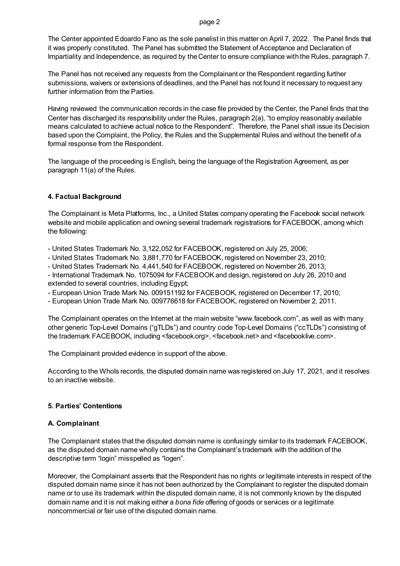page 2

The Center appointed Edoardo Fano as the sole panelist in this matter on April 7, 2022. The Panel finds that it was properly constituted. The Panel has submitted the Statement of Acceptance and Declaration of Impartiality and Independence, as required by the Center to ensure compliance with the Rules, paragraph 7.

The Panel has not received any requests from the Complainant or the Respondent regarding further submissions, waivers or extensions of deadlines, and the Panel has not found it necessary to request any further information from the Parties.

Having reviewed the communication records in the case file provided by the Center, the Panel finds that the Center has discharged its responsibility under the Rules, paragraph 2(a), "to employ reasonably available means calculated to achieve actual notice to the Respondent". Therefore, the Panel shall issue its Decision based upon the Complaint, the Policy, the Rules and the Supplemental Rules and without the benefit of a formal response from the Respondent.

The language of the proceeding is English, being the language of the Registration Agreement, as per paragraph 11(a) of the Rules.

# **4. Factual Background**

The Complainant is Meta Platforms, Inc., a United States company operating the Facebook social network website and mobile application and owning several trademark registrations for FACEBOOK, among which the following:

- United States Trademark No. 3,122,052 for FACEBOOK, registered on July 25, 2006;

- United States Trademark No. 3,881,770 for FACEBOOK, registered on November 23, 2010;

- United States Trademark No. 4,441,540 for FACEBOOK, registered on November 26, 2013;

- International Trademark No. 1075094 for FACEBOOK and design, registered on July 26, 2010 and extended to several countries, including Egypt;

- European Union Trade Mark No. 009151192 for FACEBOOK, registered on December 17, 2010;

- European Union Trade Mark No. 009776618 for FACEBOOK, registered on November 2, 2011.

The Complainant operates on the Internet at the main website "www.facebook.com", as well as with many other generic Top-Level Domains ("gTLDs") and country code Top-Level Domains ("ccTLDs") consisting of the trademark FACEBOOK, including <facebook.org>, <facebook.net> and <facebooklive.com>.

The Complainant provided evidence in support of the above.

According to the Whols records, the disputed domain name was registered on July 17, 2021, and it resolves to an inactive website.

# **5. Parties' Contentions**

# **A. Complainant**

The Complainant states that the disputed domain name is confusingly similar to its trademark FACEBOOK, as the disputed domain name wholly contains the Complainant's trademark with the addition of the descriptive term "login" misspelled as "logen".

Moreover, the Complainant asserts that the Respondent has no rights or legitimate interests in respect of the disputed domain name since it has not been authorized by the Complainant to register the disputed domain name or to use its trademark within the disputed domain name, it is not commonly known by the disputed domain name and it is not making either a *bona fide* offering of goods or services or a legitimate noncommercial or fair use of the disputed domain name.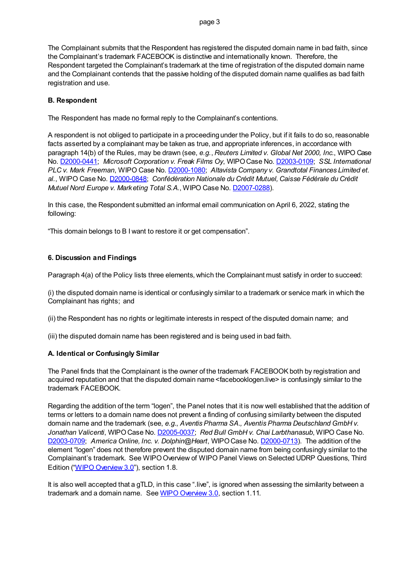The Complainant submits that the Respondent has registered the disputed domain name in bad faith, since the Complainant's trademark FACEBOOK is distinctive and internationally known. Therefore, the Respondent targeted the Complainant's trademark at the time of registration of the disputed domain name and the Complainant contends that the passive holding of the disputed domain name qualifies as bad faith registration and use.

### **B. Respondent**

The Respondent has made no formal reply to the Complainant's contentions.

A respondent is not obliged to participate in a proceeding under the Policy, but if it fails to do so, reasonable facts asserted by a complainant may be taken as true, and appropriate inferences, in accordance with paragraph 14(b) of the Rules, may be drawn (see, *e.g.*, *Reuters Limited v. Global Net 2000, Inc.*, WIPO Case No. [D2000-0441;](https://www.wipo.int/amc/en/domains/decisions/html/2000/d2000-0441.html) *Microsoft Corporation v. Freak Films Oy*, WIPO Case No[. D2003-0109](https://www.wipo.int/amc/en/domains/decisions/html/2003/d2003-0109.html); *SSL International PLC v. Mark Freeman*, WIPO Case No[. D2000-1080](https://www.wipo.int/amc/en/domains/decisions/html/2000/d2000-1080.html); *Altavista Company v. Grandtotal Finances Limited et. al.*, WIPO Case No[. D2000-0848](https://www.wipo.int/amc/en/domains/decisions/html/2000/d2000-0848.html); *Confédération Nationale du Crédit Mutuel, Caisse Fédérale du Crédit Mutuel Nord Europe v. Marketing Total S.A*., WIPO Case No[. D2007-0288](https://www.wipo.int/amc/en/domains/decisions/html/2007/d2007-0288.html)).

In this case, the Respondent submitted an informal email communication on April 6, 2022, stating the following:

"This domain belongs to B I want to restore it or get compensation".

#### **6. Discussion and Findings**

Paragraph 4(a) of the Policy lists three elements, which the Complainant must satisfy in order to succeed:

(i) the disputed domain name is identical or confusingly similar to a trademark or service mark in which the Complainant has rights; and

(ii) the Respondent has no rights or legitimate interests in respect of the disputed domain name; and

(iii) the disputed domain name has been registered and is being used in bad faith.

#### **A. Identical or Confusingly Similar**

The Panel finds that the Complainant is the owner of the trademark FACEBOOK both by registration and acquired reputation and that the disputed domain name <facebooklogen.live> is confusingly similar to the trademark FACEBOOK.

Regarding the addition of the term "logen", the Panel notes that it is now well established that the addition of terms or letters to a domain name does not prevent a finding of confusing similarity between the disputed domain name and the trademark (see, *e.g.*, *Aventis Pharma SA., Aventis Pharma Deutschland GmbH v.* Jonathan Valicenti, WIPO Case No. **D2005-0037**; Red Bull GmbH v. Chai Larbthanasub, WIPO Case No. [D2003-0709;](https://www.wipo.int/amc/en/domains/decisions/html/2003/d2003-0709.html) *America Online, Inc. v. Dolphin@Heart*, WIPO Case No[. D2000-0713](https://www.wipo.int/amc/en/domains/decisions/html/2000/d2000-0713.html)). The addition of the element "logen" does not therefore prevent the disputed domain name from being confusingly similar to the Complainant's trademark. See WIPO Overview of WIPO Panel Views on Selected UDRP Questions, Third Edition [\("WIPO Overview 3.0"](https://www.wipo.int/amc/en/domains/search/overview3.0/)), section 1.8.

It is also well accepted that a gTLD, in this case ".live", is ignored when assessing the similarity between a trademark and a domain name. Se[e WIPO Overview 3.0,](https://www.wipo.int/amc/en/domains/search/overview3.0/) section 1.11.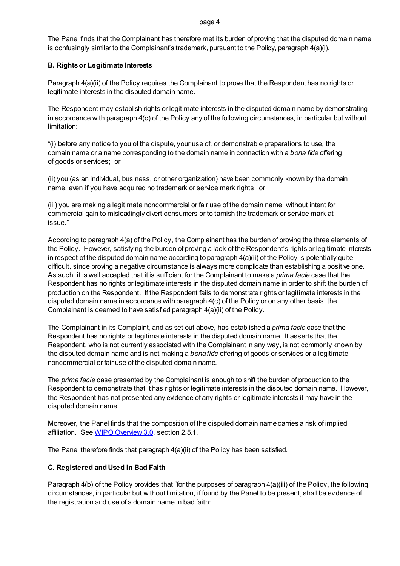#### page 4

The Panel finds that the Complainant has therefore met its burden of proving that the disputed domain name is confusingly similar to the Complainant's trademark, pursuant to the Policy, paragraph 4(a)(i).

# **B. Rights or Legitimate Interests**

Paragraph 4(a)(ii) of the Policy requires the Complainant to prove that the Respondent has no rights or legitimate interests in the disputed domain name.

The Respondent may establish rights or legitimate interests in the disputed domain name by demonstrating in accordance with paragraph 4(c) of the Policy any of the following circumstances, in particular but without limitation:

"(i) before any notice to you of the dispute, your use of, or demonstrable preparations to use, the domain name or a name corresponding to the domain name in connection with a *bona fide* offering of goods or services; or

(ii) you (as an individual, business, or other organization) have been commonly known by the domain name, even if you have acquired no trademark or service mark rights; or

(iii) you are making a legitimate noncommercial or fair use of the domain name, without intent for commercial gain to misleadingly divert consumers or to tarnish the trademark or service mark at issue."

According to paragraph 4(a) of the Policy, the Complainant has the burden of proving the three elements of the Policy. However, satisfying the burden of proving a lack of the Respondent's rights or legitimate interests in respect of the disputed domain name according to paragraph 4(a)(ii) of the Policy is potentially quite difficult, since proving a negative circumstance is always more complicate than establishing a positive one. As such, it is well accepted that it is sufficient for the Complainant to make a *prima facie* case that the Respondent has no rights or legitimate interests in the disputed domain name in order to shift the burden of production on the Respondent. If the Respondent fails to demonstrate rights or legitimate interests in the disputed domain name in accordance with paragraph 4(c) of the Policy or on any other basis, the Complainant is deemed to have satisfied paragraph 4(a)(ii) of the Policy.

The Complainant in its Complaint, and as set out above, has established a *prima facie* case that the Respondent has no rights or legitimate interests in the disputed domain name. It asserts that the Respondent, who is not currently associated with the Complainant in any way, is not commonly known by the disputed domain name and is not making a *bona fide* offering of goods or services or a legitimate noncommercial or fair use of the disputed domain name.

The *prima facie* case presented by the Complainant is enough to shift the burden of production to the Respondent to demonstrate that it has rights or legitimate interests in the disputed domain name. However, the Respondent has not presented any evidence of any rights or legitimate interests it may have in the disputed domain name.

Moreover, the Panel finds that the composition of the disputed domain name carries a risk of implied affiliation. Se[e WIPO Overview 3.0,](https://www.wipo.int/amc/en/domains/search/overview3.0/) section 2.5.1.

The Panel therefore finds that paragraph 4(a)(ii) of the Policy has been satisfied.

# **C. Registered and Used in Bad Faith**

Paragraph 4(b) of the Policy provides that "for the purposes of paragraph 4(a)(iii) of the Policy, the following circumstances, in particular but without limitation, if found by the Panel to be present, shall be evidence of the registration and use of a domain name in bad faith: